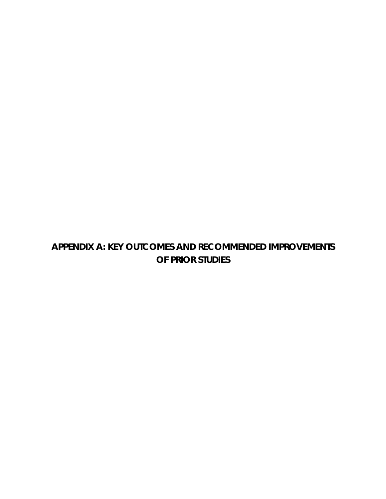## **APPENDIX A: KEY OUTCOMES AND RECOMMENDED IMPROVEMENTS OF PRIOR STUDIES**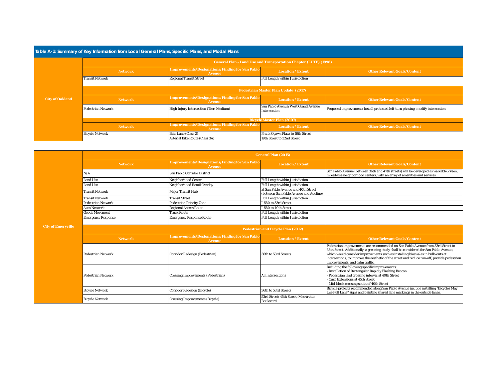| Table A-1: Summary of Key Information from Local General Plans, Specific Plans, and Modal Plans |                                             |                                                                         |                                                                         |                                                                                |  |
|-------------------------------------------------------------------------------------------------|---------------------------------------------|-------------------------------------------------------------------------|-------------------------------------------------------------------------|--------------------------------------------------------------------------------|--|
|                                                                                                 |                                             |                                                                         | <b>General Plan - Land Use and Transportation Chapter (LUTE) (1998)</b> |                                                                                |  |
|                                                                                                 | <b>Network</b>                              | <b>Improvements/Designations/Finding for San Pablo</b><br><b>Avenue</b> | Location / Extent                                                       | <b>Other Relevant Goals/Content</b>                                            |  |
|                                                                                                 | <b>Transit Network</b>                      | <b>Regional Transit Street</b>                                          | Full Length within Jurisdiction                                         |                                                                                |  |
|                                                                                                 |                                             |                                                                         |                                                                         |                                                                                |  |
|                                                                                                 | <b>Pedestrian Master Plan Update (2017)</b> |                                                                         |                                                                         |                                                                                |  |
| <b>City of Oakland</b>                                                                          | <b>Network</b>                              | <b>Improvements/Designations/Finding for San Pablo</b><br><b>Avenue</b> | <b>Location / Extent</b>                                                | <b>Other Relevant Goals/Content</b>                                            |  |
|                                                                                                 | <b>Pedestrian Network</b>                   | High Injury Intersection (Tier: Medium)                                 | San Pablo Avenue/West Grand Avenue<br>Intersection                      | Proposed improvement: Install protected left-turn phasing; modify intersection |  |
|                                                                                                 |                                             |                                                                         |                                                                         |                                                                                |  |
|                                                                                                 | <b>Bicycle Master Plan (2007)</b>           |                                                                         |                                                                         |                                                                                |  |
|                                                                                                 | <b>Network</b>                              | <b>Improvements/Designations/Finding for San Pablo</b><br><b>Avenue</b> | <b>Location / Extent</b>                                                | <b>Other Relevant Goals/Content</b>                                            |  |
|                                                                                                 | <b>Bicycle Network</b>                      | Bike Lane (Class 2)                                                     | Frank Ogawa Plaza to 19th Street                                        |                                                                                |  |
|                                                                                                 |                                             | Arterial Bike Route (Class 3A)                                          | 19th Street to 32nd Street                                              |                                                                                |  |

|                           | <b>General Plan (2015)</b>                |                                                                         |                                                                               |                                                                                                                                                                                                                                                                                                                                                                                               |  |  |
|---------------------------|-------------------------------------------|-------------------------------------------------------------------------|-------------------------------------------------------------------------------|-----------------------------------------------------------------------------------------------------------------------------------------------------------------------------------------------------------------------------------------------------------------------------------------------------------------------------------------------------------------------------------------------|--|--|
|                           | <b>Network</b>                            | <b>Improvements/Designations/Finding for San Pablo</b><br><b>Avenue</b> | <b>Location / Extent</b>                                                      | <b>Other Relevant Goals/Content</b>                                                                                                                                                                                                                                                                                                                                                           |  |  |
|                           | N/A                                       | San Pablo Corridor District                                             |                                                                               | San Pablo Avenue (between 36th and 47th streets) will be developed as walkable, green,<br>mixed-use neighborhood centers, with an array of amenities and services.                                                                                                                                                                                                                            |  |  |
|                           | <b>Land Use</b>                           | Neighborhood Center                                                     | Full Length within Jurisdiction                                               |                                                                                                                                                                                                                                                                                                                                                                                               |  |  |
|                           | Land Use                                  | Neighborhood Retail Overlay                                             | Full Length within Jurisdiction                                               |                                                                                                                                                                                                                                                                                                                                                                                               |  |  |
|                           | <b>Transit Network</b>                    | <b>Major Transit Hub</b>                                                | at San Pablo Avenue and 40th Street<br>(between San Pablo Avenue and Adeline) |                                                                                                                                                                                                                                                                                                                                                                                               |  |  |
|                           | <b>Transit Network</b>                    | <b>Transit Street</b>                                                   | <b>Full Length within Jurisdiction</b>                                        |                                                                                                                                                                                                                                                                                                                                                                                               |  |  |
|                           | Pedestrian Network                        | <b>Pedestrian Priority Zone</b>                                         | I-580 to 53rd Street                                                          |                                                                                                                                                                                                                                                                                                                                                                                               |  |  |
|                           | <b>Auto Network</b>                       | <b>Regional Access Route</b>                                            | I-580 to 40th Street                                                          |                                                                                                                                                                                                                                                                                                                                                                                               |  |  |
|                           | <b>Goods Movement</b>                     | <b>Truck Route</b>                                                      | Full Length within Jurisdiction                                               |                                                                                                                                                                                                                                                                                                                                                                                               |  |  |
|                           | <b>Emergency Response</b>                 | <b>Emergency Response Route</b>                                         | Full Length within Jurisdiction                                               |                                                                                                                                                                                                                                                                                                                                                                                               |  |  |
|                           |                                           |                                                                         |                                                                               |                                                                                                                                                                                                                                                                                                                                                                                               |  |  |
| <b>City of Emeryville</b> | <b>Pedestrian and Bicycle Plan (2012)</b> |                                                                         |                                                                               |                                                                                                                                                                                                                                                                                                                                                                                               |  |  |
|                           | <b>Network</b>                            | <b>Improvements/Designations/Finding for San Pablo</b><br><b>Avenue</b> | <b>Location / Extent</b>                                                      | <b>Other Relevant Goals/Content</b>                                                                                                                                                                                                                                                                                                                                                           |  |  |
|                           | <b>Pedestrian Network</b>                 | Corridor Redesign (Pedestrian)                                          | 36th to 53rd Streets                                                          | Pedestrian improvements are recommended on San Pablo Avenue from 53rd Street to<br>36th Street. Additionally, a greening study shall be considered for San Pablo Avenue,<br>which would consider improvements such as installing bioswales in bulb-outs at<br>intersections, to improve the aesthetic of the street and reduce run-off, provide pedestrian<br>improvements, and calm traffic. |  |  |
|                           | <b>Pedestrian Network</b>                 | <b>Crossing Improvements (Pedestrian)</b>                               | <b>All Intersections</b>                                                      | Including the following specific improvements:<br>Installation of Rectangular Rapidly Flashing Beacon<br>Pedestrian lead crossing interval at 40th Street<br>- Curb Extensions at 45th Street<br>Mid-block crossing south of 40th Street                                                                                                                                                      |  |  |
|                           | <b>Bicycle Network</b>                    | Corridor Redesign (Bicycle)                                             | 36th to 53rd Streets                                                          | Bicycle projects recommended along San Pablo Avenue include installing "Bicycles May<br>Use Full Lane" signs and painting shared lane markings in the outside lanes.                                                                                                                                                                                                                          |  |  |
|                           | <b>Bicycle Network</b>                    | <b>Crossing Improvements (Bicycle)</b>                                  | 53rd Street; 45th Street; MacArthur<br><b>Boulevard</b>                       |                                                                                                                                                                                                                                                                                                                                                                                               |  |  |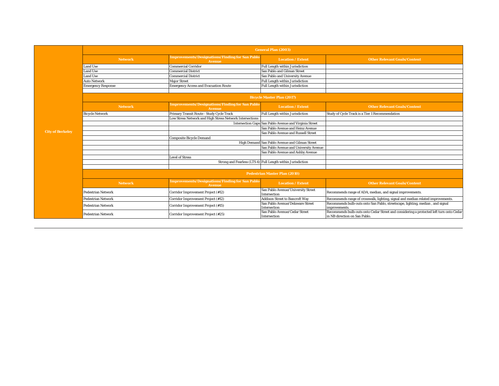|                         | <b>General Plan (2003)</b>           |                                                                         |                                                             |                                                                                                                          |  |
|-------------------------|--------------------------------------|-------------------------------------------------------------------------|-------------------------------------------------------------|--------------------------------------------------------------------------------------------------------------------------|--|
|                         | <b>Network</b>                       | <b>Improvements/Designations/Finding for San Pablo</b><br><b>Avenue</b> | <b>Location / Extent</b>                                    | <b>Other Relevant Goals/Content</b>                                                                                      |  |
|                         | <b>Land Use</b>                      | <b>Commercial Corridor</b>                                              | Full Length within Jurisdiction                             |                                                                                                                          |  |
|                         | <b>Land Use</b>                      | <b>Commercial District</b>                                              | San Pablo and Gilman Street                                 |                                                                                                                          |  |
|                         | <b>Land Use</b>                      | <b>Commercial District</b>                                              | San Pablo and University Avenue                             |                                                                                                                          |  |
|                         | <b>Auto Network</b>                  | <b>Maior Street</b>                                                     | Full Length within Jurisdiction                             |                                                                                                                          |  |
|                         | <b>Emergency Response</b>            | <b>Emergency Access and Evacuation Route</b>                            | Full Length within Jurisdiction                             |                                                                                                                          |  |
|                         |                                      |                                                                         |                                                             |                                                                                                                          |  |
|                         |                                      |                                                                         | <b>Bicycle Master Plan (2017)</b>                           |                                                                                                                          |  |
|                         | <b>Network</b>                       | <b>Improvements/Designations/Finding for San Pablo</b><br><b>Avenue</b> | <b>Location / Extent</b>                                    | <b>Other Relevant Goals/Content</b>                                                                                      |  |
|                         | <b>Bicycle Network</b>               | Primary Transit Route - Study Cycle Track                               | Full Length within Jurisdiction                             | Study of Cycle Track is a Tier 1 Recommendation                                                                          |  |
|                         |                                      | Low Stress Network and High Stress Network Intersections                |                                                             |                                                                                                                          |  |
|                         |                                      |                                                                         | Intersection Gaps San Pablo Avenue and Virginia Street      |                                                                                                                          |  |
|                         |                                      |                                                                         | San Pablo Avenue and Heinz Avenue                           |                                                                                                                          |  |
| <b>City of Berkeley</b> |                                      |                                                                         | San Pablo Avenue and Russell Street                         |                                                                                                                          |  |
|                         |                                      | <b>Composite Bicycle Demand</b>                                         |                                                             |                                                                                                                          |  |
|                         |                                      |                                                                         | High Demand San Pablo Avenue and Gilman Street              |                                                                                                                          |  |
|                         |                                      |                                                                         | San Pablo Avenue and University Avenue                      |                                                                                                                          |  |
|                         |                                      |                                                                         | San Pablo Avenue and Ashby Avenue                           |                                                                                                                          |  |
|                         |                                      | <b>Level of Stress</b>                                                  |                                                             |                                                                                                                          |  |
|                         |                                      |                                                                         | Strong and Fearless (LTS 4) Full Length within Jurisdiction |                                                                                                                          |  |
|                         |                                      |                                                                         |                                                             |                                                                                                                          |  |
|                         | <b>Pedestrian Master Plan (2010)</b> |                                                                         |                                                             |                                                                                                                          |  |
|                         | <b>Network</b>                       | <b>Improvements/Designations/Finding for San Pablo</b><br><b>Avenue</b> | <b>Location / Extent</b>                                    | <b>Other Relevant Goals/Content</b>                                                                                      |  |
|                         | Pedestrian Network                   | Corridor Improvement Project (#12)                                      | San Pablo Avenue/University Street<br>Intersection          | Recommends range of ADA, median, and signal improvements.                                                                |  |
|                         | Pedestrian Network                   | Corridor Improvement Project (#12)                                      | <b>Addison Street to Bancroft Way</b>                       | Recommends range of crosswalk, lighting, signal and median related improvements.                                         |  |
|                         | Pedestrian Network                   | Corridor Improvement Project (#15)                                      | San Pablo Avenue/Delaware Street<br>Intersection            | Recommends bulb-outs onto San Pablo, streetscape, lighting, median, and signal<br>improvements.                          |  |
|                         | <b>Pedestrian Network</b>            | Corridor Improvement Project (#25)                                      | San Pablo Avenue/Cedar Street<br>Intersection               | Recommends bulb-outs onto Cedar Street and considering a protected left turn onto Cedar<br>in NB direction on San Pablo. |  |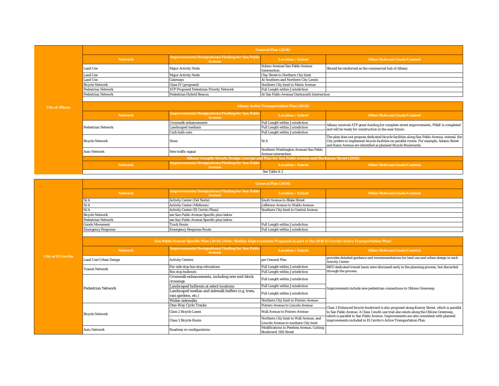| <b>General Plan (2016)</b> |                                                                         |                                                |                                                      |
|----------------------------|-------------------------------------------------------------------------|------------------------------------------------|------------------------------------------------------|
| <b>Network</b>             | <b>Improvements/Designations/Finding for San Pablo</b><br><b>Avenue</b> | <b>Location / Extent</b>                       | <b>Other Relevant Goals/Content</b>                  |
| Land Use                   | <b>Major Activity Node</b>                                              | Solano Avenue/San Pablo Avenue<br>Intersection | Should be reinforced as the commercial hub of Albany |
| Land Use                   | <b>Major Activity Node</b>                                              | Clay Street to Northern City limit             |                                                      |
| Land Use                   | Gateways                                                                | At Southern and Northern City Limits           |                                                      |
| <b>Bicycle Network</b>     | Class IV (proposed)                                                     | Southern City limit to Marin Avenue            |                                                      |
| <b>Pedestrian Network</b>  | <b>ATP Proposed Pedestrian Priority Network</b>                         | Full Length within Jurisdiction                |                                                      |
| <b>Pedestrian Network</b>  | Pedestrian Hybrid Beacon                                                | At San Pablo Avenue/Dartmouth Intersection     |                                                      |

| <b>Albany Active Transportation Plan (2012)</b>                                                |                                                                         |                                                                    |                                                                                                                                                                                                                                                             |
|------------------------------------------------------------------------------------------------|-------------------------------------------------------------------------|--------------------------------------------------------------------|-------------------------------------------------------------------------------------------------------------------------------------------------------------------------------------------------------------------------------------------------------------|
| <b>Network</b>                                                                                 | Improvements/Designations/Finding for San Pablo<br>Avenue               | <b>Location / Extent</b>                                           | <b>Other Relevant Goals/Content</b>                                                                                                                                                                                                                         |
|                                                                                                | <b>Crosswalk enhancements</b>                                           | <b>Full Length within Jurisdiction</b>                             | Albany received ATP grant funding for complete street improvements, PS&E is completed                                                                                                                                                                       |
| Pedestrian Network                                                                             | Landscaped medians                                                      | Full Length within Jurisdiction                                    | and will be ready for construction in the near future.                                                                                                                                                                                                      |
|                                                                                                | Curb bulb-outs                                                          | Full Length within Jurisdiction                                    |                                                                                                                                                                                                                                                             |
| <b>Bicycle Network</b>                                                                         | None                                                                    | N/A                                                                | The plan does not propose dedicated bicycle facilities along San Pablo Avenue, instead, the<br>City prefers to implement bicycle facilities on parallel routes. For example, Adams Street<br>and Kains Avenue are identified as planned Bicycle Boulevards. |
| <b>Auto Network</b>                                                                            | New traffic signal                                                      | Southern Washington Avenue/San Pablo<br><b>Avenue intersection</b> |                                                                                                                                                                                                                                                             |
| Albany Complte Streets Design Concept and Plan for San Pablo Avenue and Buchanan Street (2012) |                                                                         |                                                                    |                                                                                                                                                                                                                                                             |
| <b>Network</b>                                                                                 | <b>Improvements/Designations/Finding for San Pablo</b><br><b>Avenue</b> | <b>Location / Extent</b>                                           | <b>Other Relevant Goals/Content</b>                                                                                                                                                                                                                         |
|                                                                                                |                                                                         | See Table A-2                                                      |                                                                                                                                                                                                                                                             |

| <b>General Plan (2014)</b> |                                                           |                                       |                                     |
|----------------------------|-----------------------------------------------------------|---------------------------------------|-------------------------------------|
| <b>Network</b>             | Improvements/Designations/Finding for San Pablo<br>Avenue | <b>Location / Extent</b>              | <b>Other Relevant Goals/Content</b> |
| N/A                        | <b>Activity Center (Del Norte)</b>                        | <b>Knott Avenue to Blake Street</b>   |                                     |
| N/A                        | <b>Activity Center (Midtown)</b>                          | Jefferson Avenue to Waldo Avenue      |                                     |
| N/A                        | <b>Activity Center (El Cerrito Plaza)</b>                 | Southern City limit to Central Avenue |                                     |
| <b>Bicycle Network</b>     | see San Pablo Avenue Specific plan below                  |                                       |                                     |
| <b>Pedestrian Network</b>  | see San Pablo Avenue Specific plan below                  |                                       |                                     |
| <b>Goods Movement</b>      | <b>Truck Route</b>                                        | Full Length within Jurisdiction       |                                     |
| <b>Emergency Response</b>  | <b>Emergency Response Route</b>                           | Full Length within Jurisdiction       |                                     |

|      | San Pablo Avenue Specific Plan (2014) (Note: Similar Improvements Proposed as part of the 2016 El Cerrito Active Transportation Plan) |                                                                            |                                                                            |                                                                                                                                                                                                                                                                             |  |  |
|------|---------------------------------------------------------------------------------------------------------------------------------------|----------------------------------------------------------------------------|----------------------------------------------------------------------------|-----------------------------------------------------------------------------------------------------------------------------------------------------------------------------------------------------------------------------------------------------------------------------|--|--|
|      | <b>Network</b>                                                                                                                        | <b>Improvements/Designations/Finding for San Pablo</b><br><b>Avenue</b>    | <b>Location / Extent</b>                                                   | <b>Other Relevant Goals/Content</b>                                                                                                                                                                                                                                         |  |  |
| rito | Land Use/Urban Design                                                                                                                 | <b>Activity Centers</b>                                                    | oer General Plan                                                           | provides detailed guidance and recommendations for land use and urban design in each<br><b>Activity Center</b>                                                                                                                                                              |  |  |
|      | <b>Transit Network</b>                                                                                                                | Far-side stop bus stop relocations                                         | Full Length within Jurisdiction                                            | BRT/dedicated transit lanes were discussed early in the planning process, but discarded                                                                                                                                                                                     |  |  |
|      |                                                                                                                                       | <b>Bus stop bulbouts</b>                                                   | Full Length within Jurisdiction                                            | through the process.                                                                                                                                                                                                                                                        |  |  |
|      | <b>Pedestrian Network</b>                                                                                                             | Crosswalk enhancements, including new mid-block<br>crossings               | Full Length within Jurisdiction                                            | Improvements include new pedestrian connections to Ohlone Greenway.                                                                                                                                                                                                         |  |  |
|      |                                                                                                                                       | Landscaped bulbouts at select locations                                    | Full Length within Jurisdiction                                            |                                                                                                                                                                                                                                                                             |  |  |
|      |                                                                                                                                       | Landscaped median and sidewalk buffers (e.g. trees,<br>rain gardens, etc.) | Full Length within Jurisdiction                                            |                                                                                                                                                                                                                                                                             |  |  |
|      |                                                                                                                                       | Widen sidewalks                                                            | Northern City limit to Potrero Avenue                                      |                                                                                                                                                                                                                                                                             |  |  |
|      |                                                                                                                                       | <b>One-Way Cycle Tracks</b>                                                | Potrero Avenue to Lincoln Avenue                                           |                                                                                                                                                                                                                                                                             |  |  |
|      | <b>Bicycle Network</b>                                                                                                                | <b>Class 2 Bicycle Lanes</b>                                               | <b>Wall Avenue to Potrero Avenue</b>                                       | Class 3 Enhanced bicycle boulevard is also proposed along Kearny Street, which is parallel<br>to San Pablo Avenue. A Class 1 multi-use trail also exists along the Ohlone Greenway,<br>which is parallel to San Pablo Avenue. Improvements are also consistent with planned |  |  |
|      |                                                                                                                                       | <b>Class 3 Bicycle Route</b>                                               | Northern City limit to Wall Avenue, and                                    | improvements included in El Cerrito's Active Transportation Plan.                                                                                                                                                                                                           |  |  |
|      |                                                                                                                                       |                                                                            | Lincoln Avenue to southern City limit                                      |                                                                                                                                                                                                                                                                             |  |  |
|      | <b>Auto Network</b>                                                                                                                   | Roadway re-configurations                                                  | Modifications to Peerless Avenue, Cutting<br><b>Boulevard, Hill Street</b> |                                                                                                                                                                                                                                                                             |  |  |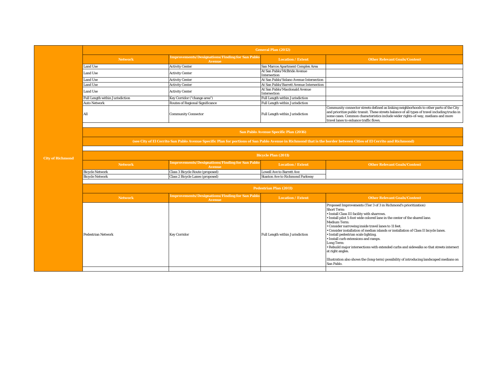| <b>General Plan (2012)</b>      |                                                                  |                                               |                                                                                                                                                                                                                                                                                                                          |
|---------------------------------|------------------------------------------------------------------|-----------------------------------------------|--------------------------------------------------------------------------------------------------------------------------------------------------------------------------------------------------------------------------------------------------------------------------------------------------------------------------|
| <b>Network</b>                  | <b>Improvements/Designations/Finding for San Pablo</b><br>Avenue | <b>Location / Extent</b>                      | <b>Other Relevant Goals/Content</b>                                                                                                                                                                                                                                                                                      |
| <b>Land Use</b>                 | <b>Activity Center</b>                                           | San Marcos Apartment Complex Area             |                                                                                                                                                                                                                                                                                                                          |
| <b>Land Use</b>                 | <b>Activity Center</b>                                           | At San Pablo/McBride Avenue<br>Intersection   |                                                                                                                                                                                                                                                                                                                          |
| Land Use                        | <b>Activity Center</b>                                           | At San Pablo/Solano Avenue Intersection       |                                                                                                                                                                                                                                                                                                                          |
| <b>Land Use</b>                 | <b>Activity Center</b>                                           | At San Pablo/Barrett Avenue Intersection      |                                                                                                                                                                                                                                                                                                                          |
| <b>Land Use</b>                 | <b>Activity Center</b>                                           | At San Pablo/Macdonald Avenue<br>Intersection |                                                                                                                                                                                                                                                                                                                          |
| Full Length within Jurisdiction | Key Corridor ("change area")                                     | <b>Full Length within Jurisdiction</b>        |                                                                                                                                                                                                                                                                                                                          |
| <b>Auto Network</b>             | <b>Routes of Regional Significance</b>                           | <b>Full Length within Jurisdiction</b>        |                                                                                                                                                                                                                                                                                                                          |
|                                 | <b>Community Connector</b>                                       | <b>Full Length within Jurisdiction</b>        | Community connector streets defined as linking neighborhoods to other parts of the City<br>and prioritize public transit. These streets balance of all types of travel including trucks in<br>some cases. Common characteristics include wider rights-of-way, medians and more<br>travel lanes to enhance traffic flows. |

**San Pablo Avenue Specific Plan (2016)**

 **(see City of El Cerrito San Pablo Avenue Specific Plan for portions of San Pablo Avenue in Richmond that is the border between Cities of El Cerrito and Richmond)**

| <b>Bicycle Plan (2011)</b> |                                                                  |                                        |                                     |
|----------------------------|------------------------------------------------------------------|----------------------------------------|-------------------------------------|
| <b>Network</b>             | <b>Improvements/Designations/Finding for San Pablo</b><br>Avenue | <b>Location / Extent</b>               | <b>Other Relevant Goals/Content</b> |
| <b>Bicycle Network</b>     | Class 3 Bicycle Route (proposed)                                 | <b>Lowell Ave to Barrett Ave</b>       |                                     |
| <b>Bicycle Network</b>     | Class 2 Bicycle Lanes (proposed)                                 | <b>Stanton Ave to Richmond Parkway</b> |                                     |

| <b>Pedestrian Plan (2011)</b> |                                                                         |                                 |                                                                                                                                                                                                                                                                                                                                                                                                                                                                                                                                                                                                                                                                                                          |  |
|-------------------------------|-------------------------------------------------------------------------|---------------------------------|----------------------------------------------------------------------------------------------------------------------------------------------------------------------------------------------------------------------------------------------------------------------------------------------------------------------------------------------------------------------------------------------------------------------------------------------------------------------------------------------------------------------------------------------------------------------------------------------------------------------------------------------------------------------------------------------------------|--|
| <b>Network</b>                | <b>Improvements/Designations/Finding for San Pablo</b><br><b>Avenue</b> | <b>Location / Extent</b>        | <b>Other Relevant Goals/Content</b>                                                                                                                                                                                                                                                                                                                                                                                                                                                                                                                                                                                                                                                                      |  |
| <b>Pedestrian Network</b>     | <b>Key Corridor</b>                                                     | Full Length within Jurisdiction | Proposed Improvements (Tier 3 of 3 in Richmond's prioritization)<br><b>Short Term:</b><br>· Install Class III facility with sharrows.<br>· Install pilot 5-foot wide colored lane in the center of the shared lane.<br>Medium Term:<br>• Consider narrowing inside travel lanes to 11 feet.<br>. Consider installation of median islands or installation of Class II bicycle lanes.<br>Install pedestrian scale lighting.<br>Install curb extensions and ramps.<br>Long Term:<br>• Rebuild major intersections with extended curbs and sidewalks so that streets intersect<br>at right angles.<br>Illustration also shows the (long-term) possibility of introducing landscaped medians on<br>San Pablo. |  |
|                               |                                                                         |                                 |                                                                                                                                                                                                                                                                                                                                                                                                                                                                                                                                                                                                                                                                                                          |  |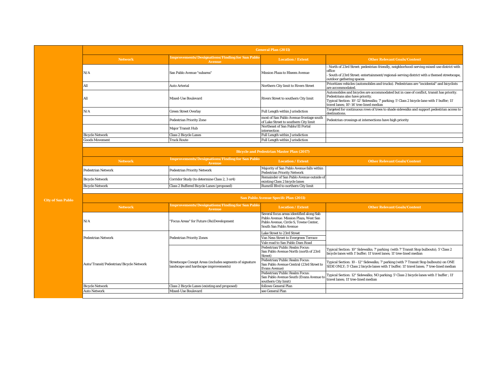| <b>General Plan (2011)</b> |                                                                         |                                                                                  |                                                                                                                                                                                                                                                                       |
|----------------------------|-------------------------------------------------------------------------|----------------------------------------------------------------------------------|-----------------------------------------------------------------------------------------------------------------------------------------------------------------------------------------------------------------------------------------------------------------------|
| <b>Network</b>             | <b>Improvements/Designations/Finding for San Pablo</b><br><b>Avenue</b> | <b>Location / Extent</b>                                                         | <b>Other Relevant Goals/Content</b>                                                                                                                                                                                                                                   |
| N/A                        | San Pablo Avenue "subarea"                                              | Mission Plaza to Rheem Avenue                                                    | North of 23rd Street: pedestrian-friendly, neighborhood-serving mixed-use district with<br>office<br>South of 23rd Street: entertainment/regional-serving district with a themed streetscape,<br>outdoor gathering spaces                                             |
| All                        | <b>Auto Arterial</b>                                                    | Northern City limit to Rivers Street                                             | Prioritizes vehicles (automobiles and trucks). Pedestrians are "incidental" and bicyclists<br>are accommodated.                                                                                                                                                       |
| All                        | Mixed-Use Boulevard                                                     | Rivers Street to southern City limit                                             | Automobiles and bicycles are accommodated but in case of conflict, transit has priority.<br>Pedestrians also have priority.<br>Typical Section: 10'-12' Sidewalks; 7' parking; 5' Class 2 bicycle lane with 1' buffer; 11'<br>travel lanes: 10'-14' tree-lined median |
| N/A                        | <b>Green Street Overlay</b>                                             | Full Length within Jurisdiction                                                  | Targeted for continuous rows of trees to shade sidewalks and support pedestrian access to<br>destinations.                                                                                                                                                            |
|                            | <b>Pedestrian Priority Zone</b>                                         | most of San Pablo Avenue frontage south<br>of Lake Street to southern City limit | Pedestrian crossings at intersections have high priority                                                                                                                                                                                                              |
|                            | <b>Major Transit Hub</b>                                                | Northeast of San Pablo/El Portal<br>intersection                                 |                                                                                                                                                                                                                                                                       |
| <b>Bicycle Network</b>     | <b>Class 2 Bicycle Lanes</b>                                            | Full Length within Jurisdiction                                                  |                                                                                                                                                                                                                                                                       |
| <b>Goods Movement</b>      | <b>Truck Route</b>                                                      | Full Length within Jurisdiction                                                  |                                                                                                                                                                                                                                                                       |

| <b>Bicycle and Pedestrian Master Plan (2017)</b> |                                                                         |                                                                                 |                                     |
|--------------------------------------------------|-------------------------------------------------------------------------|---------------------------------------------------------------------------------|-------------------------------------|
| <b>Network</b>                                   | <b>Improvements/Designations/Finding for San Pablo</b><br><b>Avenue</b> | <b>Location / Extent</b>                                                        | <b>Other Relevant Goals/Content</b> |
| <b>Pedestrian Network</b>                        | <b>Pedestrian Priority Network</b>                                      | Majority of San Pablo Avenue falls within<br><b>Pedestrian Priority Network</b> |                                     |
| <b>Bicycle Network</b>                           | Corridor Study (to determine Class 2, 3 or 4)                           | Remainder of San Pablo Avenue outside of<br>existing Class 2 bicycle lanes      |                                     |
| <b>Bicycle Network</b>                           | Class 2 Buffered Bicycle Lanes (proposed)                               | Rumrill Blyd to northern City limit                                             |                                     |

|                                                                      |                                                                                                   | <b>San Pablo Avenue Specifc Plan (2011)</b>                                                                                                          |                                                                                                                                                                                      |
|----------------------------------------------------------------------|---------------------------------------------------------------------------------------------------|------------------------------------------------------------------------------------------------------------------------------------------------------|--------------------------------------------------------------------------------------------------------------------------------------------------------------------------------------|
| <b>Network</b>                                                       | <b>Improvements/Designations/Finding for San Pablo</b><br><b>Avenue</b>                           | <b>Location / Extent</b>                                                                                                                             | <b>Other Relevant Goals/Content</b>                                                                                                                                                  |
| N/A                                                                  | "Focus Areas" for Future (Re)Development                                                          | Several focus areas identified along Sab<br>Pablo Avenue: Mission Plaza, West San<br>Pablo Avenue. Circle S. Towne Center.<br>South San Pablo Avenue |                                                                                                                                                                                      |
|                                                                      |                                                                                                   | <b>Lake Street to 23rd Street</b>                                                                                                                    |                                                                                                                                                                                      |
| <b>Pedestrian Network</b><br>Auto/Transit/Pedestrian/Bicycle Network | <b>Pedestrian Priority Zones</b>                                                                  | Van Ness Street to Evergreen Terrace                                                                                                                 |                                                                                                                                                                                      |
|                                                                      |                                                                                                   | Vale road to San Pablo Dam Road                                                                                                                      |                                                                                                                                                                                      |
|                                                                      |                                                                                                   | Pedestrian/Public Realm Focus:<br>San Pablo Avenue North (north of 23rd<br>Street)                                                                   | Typical Section: 10" Sidewalks; 7' parking (with 7' Transit Stop bulbouts); 5' Class 2<br>bicycle lanes with 1' buffer; 11' travel lanes; 11' tree-lined median                      |
|                                                                      | Streetscape Conept Areas (includes segments of signature<br>landscape and hardscape improvements) | Pedestrian/Public Realm Focus:<br>San Pablo Avenue Central (23rd Street to<br><b>Evans Avenue)</b>                                                   | Typical Section: 10 - 12" Sidewalks; 7' parking (with 7' Transit Stop bulbouts) on ONE<br>SIDE ONLY; 5' Class 2 bicycle lanes with 1' buffer; 11' travel lanes; 7' tree-lined median |
|                                                                      |                                                                                                   | Pedestrian/Public Realm Focus:<br>San Pablo Avenue South (Evans Avenue to<br>southern City limit)                                                    | Typical Section: 12" Sidewalks; NO parking; 5' Class 2 bicycle lanes with 1' buffer; 11'<br>travel lanes: 11' tree-lined median                                                      |
| <b>Bicycle Network</b>                                               | Class 2 Bicycle Lanes (existing and proposed)                                                     | follows General Plan                                                                                                                                 |                                                                                                                                                                                      |
| <b>Auto Network</b><br>Mixed-Use Boulevard                           |                                                                                                   | see General Plan                                                                                                                                     |                                                                                                                                                                                      |
|                                                                      |                                                                                                   |                                                                                                                                                      |                                                                                                                                                                                      |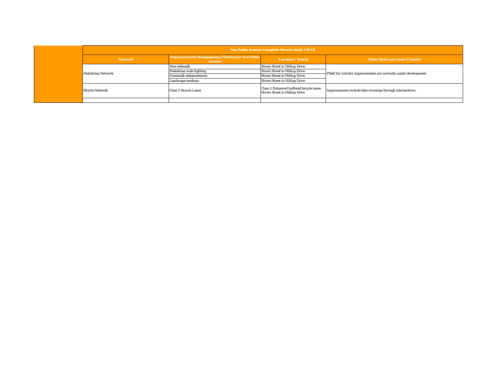|  | <b>San Pablo Avenue Complete Streets Study (2013)</b> |                                                                  |                                                                                  |                                                                 |  |  |  |  |  |
|--|-------------------------------------------------------|------------------------------------------------------------------|----------------------------------------------------------------------------------|-----------------------------------------------------------------|--|--|--|--|--|
|  | <b>Network</b>                                        | Improvements/Designations/Finding for San Pablo<br><b>Avenue</b> | <b>Location / Extent</b>                                                         | <b>Other Relevant Goals/Content</b>                             |  |  |  |  |  |
|  |                                                       | New sidewalk                                                     | <b>Rivers Street to Hilltop Drive</b>                                            |                                                                 |  |  |  |  |  |
|  | <b>Pedestrian Network</b>                             | Pedestrian scale lighting                                        | <b>Rivers Street to Hilltop Drive</b>                                            | PS&E for corridor improvements are currently under development. |  |  |  |  |  |
|  |                                                       | Crosswalk enhancements                                           | <b>Rivers Street to Hilltop Drive</b>                                            |                                                                 |  |  |  |  |  |
|  |                                                       | Landscape medians                                                | <b>Rivers Street to Hilltop Drive</b>                                            |                                                                 |  |  |  |  |  |
|  | <b>Bicycle Network</b>                                | <b>Class 2 Bicycle Lanes</b>                                     | Class 2 Enhanced buffered bicycle lanes<br><b>Rivers Street to Hilltop Drive</b> | Improvements include bike crossings through intersections.      |  |  |  |  |  |
|  |                                                       |                                                                  |                                                                                  |                                                                 |  |  |  |  |  |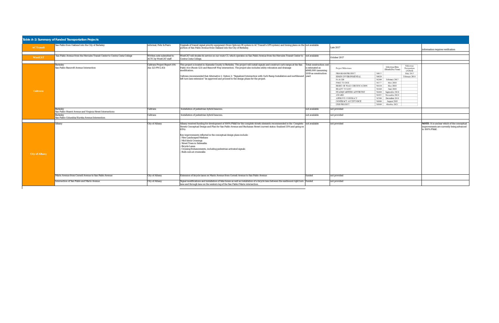| <b>AC Transit</b>     | San Pablo from Oakland into the City of Berkeley                             | informal; Fehr & Peers                                    | Upgrade of transit signal priority equipment (from Opticom IR system to AC Transit's GPS system) and timing plans on the not available<br>portion of San Pablo Avenue from Oakland into the City of Berkeley.                                                                            |                                                                          | <b>Late 2017</b>                                                                            |                      |                                                                   |                                      | information requires verification                                                                                |
|-----------------------|------------------------------------------------------------------------------|-----------------------------------------------------------|------------------------------------------------------------------------------------------------------------------------------------------------------------------------------------------------------------------------------------------------------------------------------------------|--------------------------------------------------------------------------|---------------------------------------------------------------------------------------------|----------------------|-------------------------------------------------------------------|--------------------------------------|------------------------------------------------------------------------------------------------------------------|
| <b>WestCAT</b>        | San Pablo Avenue from the Hercules Transit Center to Contra Costa College    | Written note submitted to<br><b>ACTC</b> by WestCAT staff | WestCAT will double its service on our route C3, which operates on San Pablo Avenue from the Hercules Transit Center to not available<br>Contra Costa College.                                                                                                                           |                                                                          | October 2017                                                                                |                      |                                                                   |                                      |                                                                                                                  |
|                       | <b>Berkeley</b><br>San Pablo-Bancroft Avenue Intersection                    | Caltrans Project Report (04-<br>Ala-123 PM 2.83)          | This project is located in Alameda County in Berkeley. The project will install signals and construct curb ramps at the San<br>Pablo Ave (Route 123) and Bancroft Way intersection. The project also includes utility relocation and drainage<br>modification.                           | <b>Total construction cost</b><br>is estimated as<br>\$848,000 (assuming | <b>Project Milestones</b>                                                                   |                      | Milestone Date<br>(Month/Day/Year)                                | Milestone<br>Designation<br>(Actual) |                                                                                                                  |
|                       |                                                                              |                                                           | Caltrans recommended that Alternative 1- Option 2: "Signalized Intersection with Curb Ramp Installation and northbound vear)<br>left turn lane extension" be approved and proceed to the design phase for the project.                                                                   | 2019 as construction                                                     | PROGRAM PROJECT<br><b>BEGIN ENVIRONMENTAL</b><br>PA & ED                                    | M015<br>M020<br>M200 | February 2017                                                     | May 2015<br>February 2016            |                                                                                                                  |
| <b>Caltrans</b>       |                                                                              |                                                           |                                                                                                                                                                                                                                                                                          |                                                                          | PS&E TO DOE<br>RIGHT OF WAY CERTIFICATION<br><b>READY TO LIST</b><br>HEADQUARTERS ADVERTISE | M377<br>M410<br>M460 | May 2018<br><b>May 2018</b><br><b>June 2018</b><br>September 2018 |                                      |                                                                                                                  |
|                       |                                                                              |                                                           |                                                                                                                                                                                                                                                                                          |                                                                          | <b>AWARD</b><br>APPROVE CONTRACT<br><b>CONTRACT ACCEPTANCE</b>                              | M480<br>M600         | M495 November 2018<br>M500 December 2018<br>August 2019           |                                      |                                                                                                                  |
|                       | <b>Berkeley</b><br>San Pablo-Hearst Avenue and Virginia Street Intersections | Installation of pedestrian hybrid beacons.<br>Caltrans    |                                                                                                                                                                                                                                                                                          |                                                                          | <b>END PROJECT</b><br>October 2021<br><b>M800</b><br>not available<br>not provided          |                      |                                                                   |                                      |                                                                                                                  |
|                       | <b>Berkeley</b><br>San Pablo-Columbia/Eureka Avenue Intersection             | Caltrans                                                  | Installation of pedestrian hybrid beacons.                                                                                                                                                                                                                                               | not available                                                            | not provided                                                                                |                      |                                                                   |                                      |                                                                                                                  |
|                       | Albany                                                                       | <b>City of Albany</b>                                     | Albany received funding for development of 100% PS&E for the complete streets elements recommended in the Complete not available<br>Streets Conceptual Design and Plan for San Pablo Avenue and Buchanan Street (current status: finalized 35% and going on<br>65%).                     |                                                                          | not provided                                                                                |                      |                                                                   |                                      | <b>NOTE:</b> It is unclear which of the conceptual<br>improvements are currently being advanced<br>to 100% PS&E. |
|                       |                                                                              |                                                           | Key improvements reflected in the conceptual design plans include:<br>- New Landscaped Medians<br>- Mid-block Crossings<br><b>Street Trees in Sidewalks</b><br><b>Bicycle Lanes</b><br>- Crossing Enhancements, including pedestrian activated signals<br><b>Bulb-outs at crosswalks</b> |                                                                          |                                                                                             |                      |                                                                   |                                      |                                                                                                                  |
| <b>City of Albany</b> |                                                                              |                                                           |                                                                                                                                                                                                                                                                                          |                                                                          |                                                                                             |                      |                                                                   |                                      |                                                                                                                  |
|                       | Marin Avenue from Cornell Avenue to San Pablo Avenue                         | <b>City of Albany</b>                                     | Extension of bicycle lanes on Marin Avenue from Cornell Avenue to San Pablo Avenue                                                                                                                                                                                                       | funded                                                                   | not provided                                                                                |                      |                                                                   |                                      |                                                                                                                  |
|                       | <b>Intersection of San Pablo and Marin Avenue</b>                            | <b>City of Albany</b>                                     | Signal modifications and installation of bike boxes as well as installation of a bicycle lane between the eastbound right turn funded<br>lane and through lane on the western leg of the San Pablo/Marin intersection.                                                                   |                                                                          | not provided                                                                                |                      |                                                                   |                                      |                                                                                                                  |